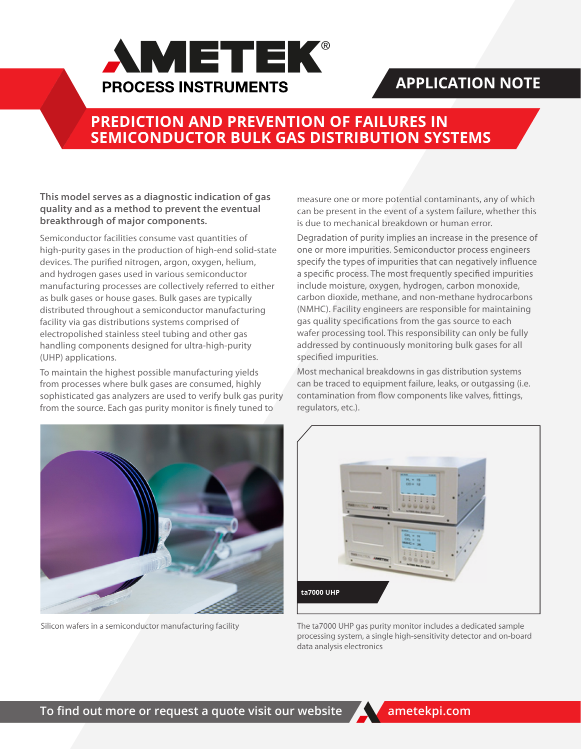

# **APPLICATION NOTE**

# **PREDICTION AND PREVENTION OF FAILURES IN SEMICONDUCTOR BULK GAS DISTRIBUTION SYSTEMS**

**This model serves as a diagnostic indication of gas quality and as a method to prevent the eventual breakthrough of major components.**

Semiconductor facilities consume vast quantities of high-purity gases in the production of high-end solid-state devices. The purified nitrogen, argon, oxygen, helium, and hydrogen gases used in various semiconductor manufacturing processes are collectively referred to either as bulk gases or house gases. Bulk gases are typically distributed throughout a semiconductor manufacturing facility via gas distributions systems comprised of electropolished stainless steel tubing and other gas handling components designed for ultra-high-purity (UHP) applications.

To maintain the highest possible manufacturing yields from processes where bulk gases are consumed, highly sophisticated gas analyzers are used to verify bulk gas purity from the source. Each gas purity monitor is finely tuned to

measure one or more potential contaminants, any of which can be present in the event of a system failure, whether this is due to mechanical breakdown or human error.

Degradation of purity implies an increase in the presence of one or more impurities. Semiconductor process engineers specify the types of impurities that can negatively influence a specific process. The most frequently specified impurities include moisture, oxygen, hydrogen, carbon monoxide, carbon dioxide, methane, and non-methane hydrocarbons (NMHC). Facility engineers are responsible for maintaining gas quality specifications from the gas source to each wafer processing tool. This responsibility can only be fully addressed by continuously monitoring bulk gases for all specified impurities.

Most mechanical breakdowns in gas distribution systems can be traced to equipment failure, leaks, or outgassing (i.e. contamination from flow components like valves, fittings, regulators, etc.).





Silicon wafers in a semiconductor manufacturing facility The ta7000 UHP gas purity monitor includes a dedicated sample processing system, a single high-sensitivity detector and on-board data analysis electronics